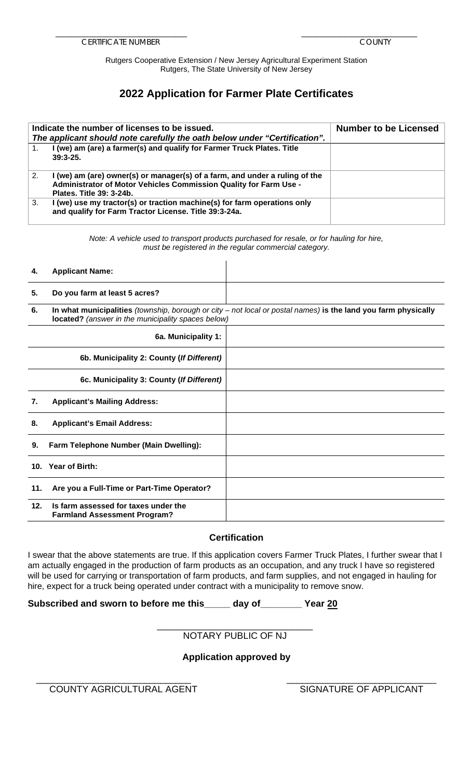Rutgers Cooperative Extension / New Jersey Agricultural Experiment Station Rutgers, The State University of New Jersey

## **2022 Application for Farmer Plate Certificates**

|    | Indicate the number of licenses to be issued.<br>The applicant should note carefully the oath below under "Certification".                                                   | <b>Number to be Licensed</b> |
|----|------------------------------------------------------------------------------------------------------------------------------------------------------------------------------|------------------------------|
|    | I (we) am (are) a farmer(s) and qualify for Farmer Truck Plates. Title<br>$39:3-25.$                                                                                         |                              |
| 2. | I (we) am (are) owner(s) or manager(s) of a farm, and under a ruling of the<br>Administrator of Motor Vehicles Commission Quality for Farm Use -<br>Plates. Title 39: 3-24b. |                              |
| 3. | I (we) use my tractor(s) or traction machine(s) for farm operations only<br>and qualify for Farm Tractor License. Title 39:3-24a.                                            |                              |

*Note: A vehicle used to transport products purchased for resale, or for hauling for hire, must be registered in the regular commercial category.* 

#### **4. Applicant Name:**

# **5. Do you farm at least 5 acres?**

**6. In what municipalities** *(township, borough or city – not local or postal names)* **is the land you farm physically located?** *(answer in the municipality spaces below)*

|     | 6a. Municipality 1:                                                         |  |
|-----|-----------------------------------------------------------------------------|--|
|     | 6b. Municipality 2: County (If Different)                                   |  |
|     | 6c. Municipality 3: County (If Different)                                   |  |
| 7.  | <b>Applicant's Mailing Address:</b>                                         |  |
| 8.  | <b>Applicant's Email Address:</b>                                           |  |
| 9.  | Farm Telephone Number (Main Dwelling):                                      |  |
|     | 10. Year of Birth:                                                          |  |
| 11. | Are you a Full-Time or Part-Time Operator?                                  |  |
| 12. | Is farm assessed for taxes under the<br><b>Farmland Assessment Program?</b> |  |

## **Certification**

 I swear that the above statements are true. If this application covers Farmer Truck Plates, I further swear that I will be used for carrying or transportation of farm products, and farm supplies, and not engaged in hauling for am actually engaged in the production of farm products as an occupation, and any truck I have so registered hire, expect for a truck being operated under contract with a municipality to remove snow.

**Subscribed and sworn to before me this\_\_\_\_\_ day of\_\_\_\_\_\_\_\_ Year 20** 

#### \_\_\_\_\_\_\_\_\_\_\_\_\_\_\_\_\_\_\_\_\_\_\_\_\_\_\_\_\_\_ NOTARY PUBLIC OF NJ

## **Application approved by**

\_\_\_\_\_\_\_\_\_\_\_\_\_\_\_\_\_\_\_\_\_\_\_\_\_\_\_\_\_\_ \_\_\_\_\_\_\_\_\_\_\_\_\_\_\_\_\_\_\_\_\_\_\_\_\_\_\_\_\_ COUNTY AGRICULTURAL AGENT SIGNATURE OF APPLICANT